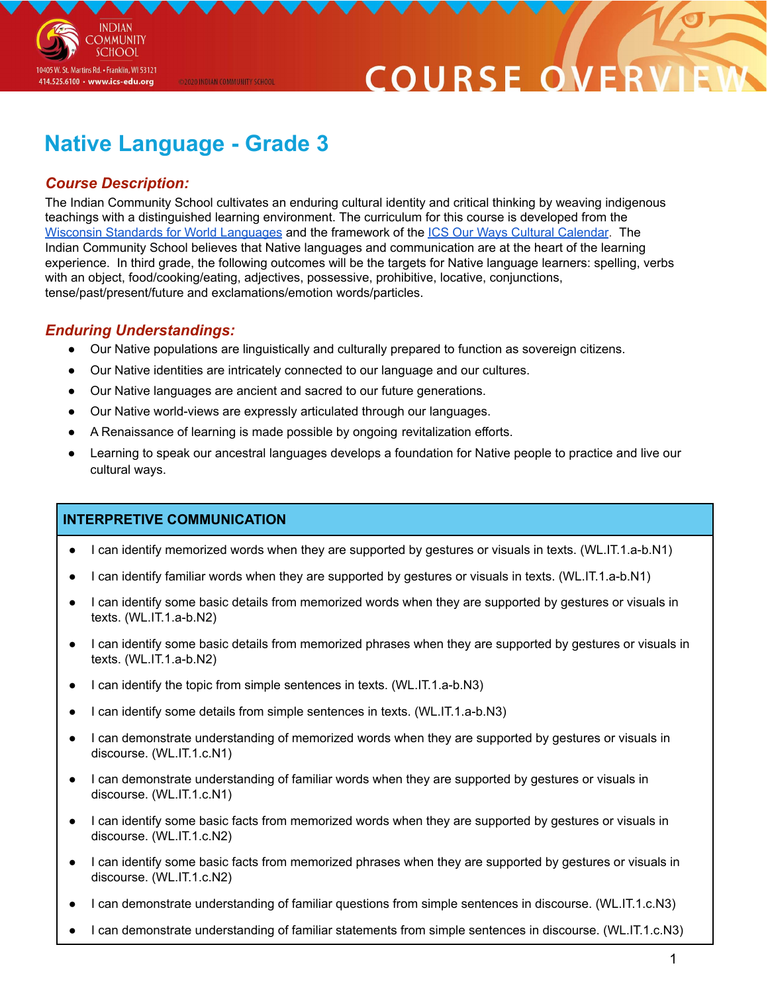

# COURSE O

# **Native Language - Grade 3**

@2020 INDIAN COMMUNITY SCHOOL

# *Course Description:*

The Indian Community School cultivates an enduring cultural identity and critical thinking by weaving indigenous teachings with a distinguished learning environment. The curriculum for this course is developed from the Wisconsin Standards for World [Languages](https://dpi.wi.gov/sites/default/files/imce/world-language/WorldLanguagesStandards2019.pdf) and the framework of the ICS Our Ways Cultural [Calendar](https://drive.google.com/open?id=0B7pONXiRIufTT3VHOXBBeG9USHMzbDNIUi1nV0NTbURCMFRZ). The Indian Community School believes that Native languages and communication are at the heart of the learning experience. In third grade, the following outcomes will be the targets for Native language learners: spelling, verbs with an object, food/cooking/eating, adjectives, possessive, prohibitive, locative, conjunctions, tense/past/present/future and exclamations/emotion words/particles.

## *Enduring Understandings:*

- Our Native populations are linguistically and culturally prepared to function as sovereign citizens.
- Our Native identities are intricately connected to our language and our cultures.
- Our Native languages are ancient and sacred to our future generations.
- Our Native world-views are expressly articulated through our languages.
- A Renaissance of learning is made possible by ongoing revitalization efforts.
- Learning to speak our ancestral languages develops a foundation for Native people to practice and live our cultural ways.

#### **INTERPRETIVE COMMUNICATION**

- I can identify memorized words when they are supported by gestures or visuals in texts. (WL.IT.1.a-b.N1)
- I can identify familiar words when they are supported by gestures or visuals in texts. (WL.IT.1.a-b.N1)
- I can identify some basic details from memorized words when they are supported by gestures or visuals in texts. (WL.IT.1.a-b.N2)
- I can identify some basic details from memorized phrases when they are supported by gestures or visuals in texts. (WL.IT.1.a-b.N2)
- I can identify the topic from simple sentences in texts. (WL.IT.1.a-b.N3)
- I can identify some details from simple sentences in texts. (WL.IT.1.a-b.N3)
- I can demonstrate understanding of memorized words when they are supported by gestures or visuals in discourse. (WL.IT.1.c.N1)
- I can demonstrate understanding of familiar words when they are supported by gestures or visuals in discourse. (WL.IT.1.c.N1)
- I can identify some basic facts from memorized words when they are supported by gestures or visuals in discourse. (WL.IT.1.c.N2)
- I can identify some basic facts from memorized phrases when they are supported by gestures or visuals in discourse. (WL.IT.1.c.N2)
- I can demonstrate understanding of familiar questions from simple sentences in discourse. (WL.IT.1.c.N3)
- I can demonstrate understanding of familiar statements from simple sentences in discourse. (WL.IT.1.c.N3)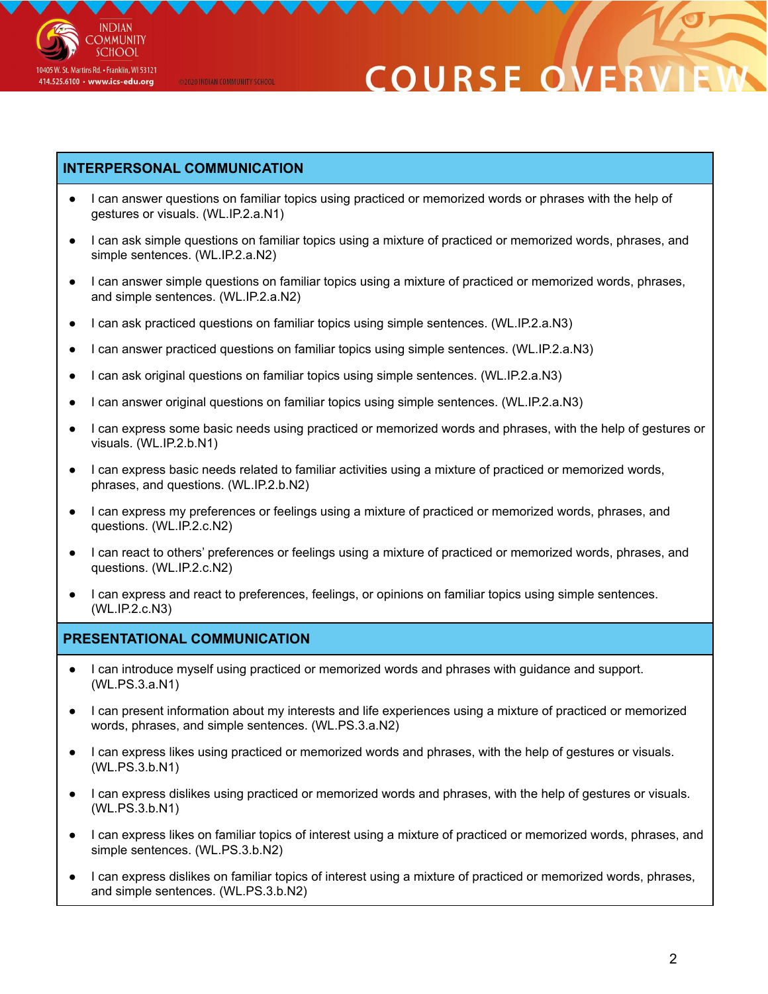

# **COURSE O**

### **INTERPERSONAL COMMUNICATION**

@2020 INDIAN COMMUNITY SCHOOL

- I can answer questions on familiar topics using practiced or memorized words or phrases with the help of gestures or visuals. (WL.IP.2.a.N1)
- I can ask simple questions on familiar topics using a mixture of practiced or memorized words, phrases, and simple sentences. (WL.IP.2.a.N2)
- I can answer simple questions on familiar topics using a mixture of practiced or memorized words, phrases, and simple sentences. (WL.IP.2.a.N2)
- I can ask practiced questions on familiar topics using simple sentences. (WL.IP.2.a.N3)
- I can answer practiced questions on familiar topics using simple sentences. (WL.IP.2.a.N3)
- I can ask original questions on familiar topics using simple sentences. (WL.IP.2.a.N3)
- I can answer original questions on familiar topics using simple sentences. (WL.IP.2.a.N3)
- I can express some basic needs using practiced or memorized words and phrases, with the help of gestures or visuals. (WL.IP.2.b.N1)
- I can express basic needs related to familiar activities using a mixture of practiced or memorized words, phrases, and questions. (WL.IP.2.b.N2)
- I can express my preferences or feelings using a mixture of practiced or memorized words, phrases, and questions. (WL.IP.2.c.N2)
- I can react to others' preferences or feelings using a mixture of practiced or memorized words, phrases, and questions. (WL.IP.2.c.N2)
- I can express and react to preferences, feelings, or opinions on familiar topics using simple sentences. (WL.IP.2.c.N3)

## **PRESENTATIONAL COMMUNICATION**

- I can introduce myself using practiced or memorized words and phrases with guidance and support. (WL.PS.3.a.N1)
- I can present information about my interests and life experiences using a mixture of practiced or memorized words, phrases, and simple sentences. (WL.PS.3.a.N2)
- I can express likes using practiced or memorized words and phrases, with the help of gestures or visuals. (WL.PS.3.b.N1)
- I can express dislikes using practiced or memorized words and phrases, with the help of gestures or visuals. (WL.PS.3.b.N1)
- I can express likes on familiar topics of interest using a mixture of practiced or memorized words, phrases, and simple sentences. (WL.PS.3.b.N2)
- I can express dislikes on familiar topics of interest using a mixture of practiced or memorized words, phrases, and simple sentences. (WL.PS.3.b.N2)